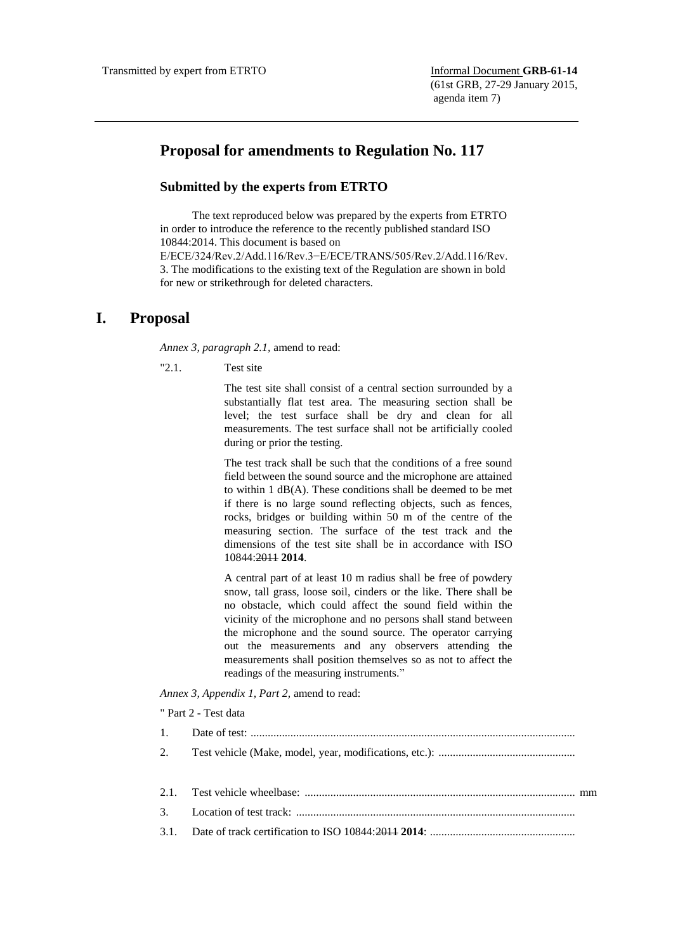## **Proposal for amendments to Regulation No. 117**

## **Submitted by the experts from ETRTO**

The text reproduced below was prepared by the experts from ETRTO in order to introduce the reference to the recently published standard ISO 10844:2014. This document is based on E/ECE/324/Rev.2/Add.116/Rev.3−E/ECE/TRANS/505/Rev.2/Add.116/Rev. 3. The modifications to the existing text of the Regulation are shown in bold for new or strikethrough for deleted characters.

## **I. Proposal**

*Annex 3, paragraph 2.1,* amend to read:

"2.1. Test site

The test site shall consist of a central section surrounded by a substantially flat test area. The measuring section shall be level; the test surface shall be dry and clean for all measurements. The test surface shall not be artificially cooled during or prior the testing.

The test track shall be such that the conditions of a free sound field between the sound source and the microphone are attained to within 1 dB(A). These conditions shall be deemed to be met if there is no large sound reflecting objects, such as fences, rocks, bridges or building within 50 m of the centre of the measuring section. The surface of the test track and the dimensions of the test site shall be in accordance with ISO 10844:2011 **2014**.

A central part of at least 10 m radius shall be free of powdery snow, tall grass, loose soil, cinders or the like. There shall be no obstacle, which could affect the sound field within the vicinity of the microphone and no persons shall stand between the microphone and the sound source. The operator carrying out the measurements and any observers attending the measurements shall position themselves so as not to affect the readings of the measuring instruments."

*Annex 3, Appendix 1, Part 2,* amend to read:

" Part 2 - Test data